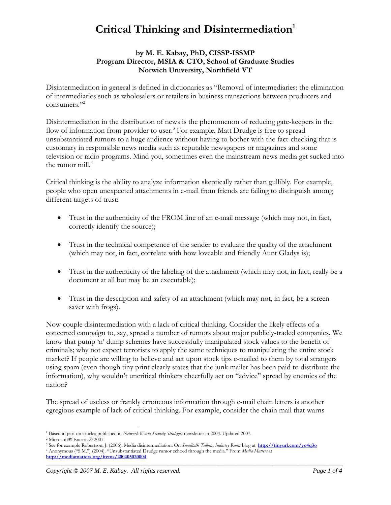## **Critical Thinking and Disintermediation**<sup>1</sup>

## **by M. E. Kabay, PhD, CISSP-ISSMP Program Director, MSIA & CTO, School of Graduate Studies Norwich University, Northfield VT**

Disintermediation in general is defined in dictionaries as "Removal of intermediaries: the elimination of intermediaries such as wholesalers or retailers in business transactions between producers and consumers."<sup>2</sup>

Disintermediation in the distribution of news is the phenomenon of reducing gate-keepers in the flow of information from provider to user.<sup>3</sup> For example, Matt Drudge is free to spread unsubstantiated rumors to a huge audience without having to bother with the fact-checking that is customary in responsible news media such as reputable newspapers or magazines and some television or radio programs. Mind you, sometimes even the mainstream news media get sucked into the rumor mill.<sup>4</sup>

Critical thinking is the ability to analyze information skeptically rather than gullibly. For example, people who open unexpected attachments in e-mail from friends are failing to distinguish among different targets of trust:

- Trust in the authenticity of the FROM line of an e-mail message (which may not, in fact, correctly identify the source);
- Trust in the technical competence of the sender to evaluate the quality of the attachment (which may not, in fact, correlate with how loveable and friendly Aunt Gladys is);
- Trust in the authenticity of the labeling of the attachment (which may not, in fact, really be a document at all but may be an executable);
- Trust in the description and safety of an attachment (which may not, in fact, be a screen saver with frogs).

Now couple disintermediation with a lack of critical thinking. Consider the likely effects of a concerted campaign to, say, spread a number of rumors about major publicly-traded companies. We know that pump 'n' dump schemes have successfully manipulated stock values to the benefit of criminals; why not expect terrorists to apply the same techniques to manipulating the entire stock market? If people are willing to believe and act upon stock tips e-mailed to them by total strangers using spam (even though tiny print clearly states that the junk mailer has been paid to distribute the information), why wouldn't uncritical thinkers cheerfully act on "advice" spread by enemies of the nation?

The spread of useless or frankly erroneous information through e-mail chain letters is another egregious example of lack of critical thinking. For example, consider the chain mail that warns

*\_\_\_\_\_\_\_\_\_\_\_\_\_\_\_\_\_\_\_\_\_\_\_\_\_\_\_\_\_\_\_\_\_\_\_\_\_\_\_\_\_\_\_\_\_\_\_\_\_\_\_\_\_\_\_\_\_\_\_\_\_\_\_\_\_\_\_\_\_\_\_\_\_\_\_\_\_\_\_\_\_\_\_\_\_\_\_\_\_\_\_\_\_* 

 $\overline{a}$ 

<sup>&</sup>lt;sup>1</sup> Based in part on articles published in *Network World Security Strategies* newsletter in 2004. Updated 2007.<br><sup>2</sup> Microsoft® Encarta® 2007.<br><sup>3</sup> See for example Robertson, J. (2006). Media disintermediation. On *Smalltal* <sup>4</sup> Anonymous ("S.M.") (2004). "Unsubstantiated Drudge rumor echoed through the media." From Media Matters at

**http://mediamatters.org/items/200405020004**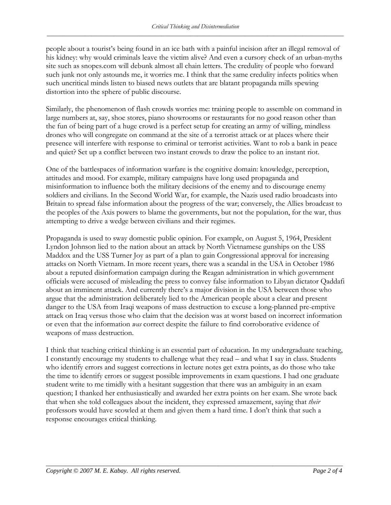people about a tourist's being found in an ice bath with a painful incision after an illegal removal of his kidney: why would criminals leave the victim alive? And even a cursory check of an urban-myths site such as snopes.com will debunk almost all chain letters. The credulity of people who forward such junk not only astounds me, it worries me. I think that the same credulity infects politics when such uncritical minds listen to biased news outlets that are blatant propaganda mills spewing distortion into the sphere of public discourse.

Similarly, the phenomenon of flash crowds worries me: training people to assemble on command in large numbers at, say, shoe stores, piano showrooms or restaurants for no good reason other than the fun of being part of a huge crowd is a perfect setup for creating an army of willing, mindless drones who will congregate on command at the site of a terrorist attack or at places where their presence will interfere with response to criminal or terrorist activities. Want to rob a bank in peace and quiet? Set up a conflict between two instant crowds to draw the police to an instant riot.

One of the battlespaces of information warfare is the cognitive domain: knowledge, perception, attitudes and mood. For example, military campaigns have long used propaganda and misinformation to influence both the military decisions of the enemy and to discourage enemy soldiers and civilians. In the Second World War, for example, the Nazis used radio broadcasts into Britain to spread false information about the progress of the war; conversely, the Allies broadcast to the peoples of the Axis powers to blame the governments, but not the population, for the war, thus attempting to drive a wedge between civilians and their regimes.

Propaganda is used to sway domestic public opinion. For example, on August 5, 1964, President Lyndon Johnson lied to the nation about an attack by North Vietnamese gunships on the USS Maddox and the USS Turner Joy as part of a plan to gain Congressional approval for increasing attacks on North Vietnam. In more recent years, there was a scandal in the USA in October 1986 about a reputed disinformation campaign during the Reagan administration in which government officials were accused of misleading the press to convey false information to Libyan dictator Qaddafi about an imminent attack. And currently there's a major division in the USA between those who argue that the administration deliberately lied to the American people about a clear and present danger to the USA from Iraqi weapons of mass destruction to excuse a long-planned pre-emptive attack on Iraq versus those who claim that the decision was at worst based on incorrect information or even that the information *was* correct despite the failure to find corroborative evidence of weapons of mass destruction.

I think that teaching critical thinking is an essential part of education. In my undergraduate teaching, I constantly encourage my students to challenge what they read – and what I say in class. Students who identify errors and suggest corrections in lecture notes get extra points, as do those who take the time to identify errors or suggest possible improvements in exam questions. I had one graduate student write to me timidly with a hesitant suggestion that there was an ambiguity in an exam question; I thanked her enthusiastically and awarded her extra points on her exam. She wrote back that when she told colleagues about the incident, they expressed amazement, saying that *their* professors would have scowled at them and given them a hard time. I don't think that such a response encourages critical thinking.

*\_\_\_\_\_\_\_\_\_\_\_\_\_\_\_\_\_\_\_\_\_\_\_\_\_\_\_\_\_\_\_\_\_\_\_\_\_\_\_\_\_\_\_\_\_\_\_\_\_\_\_\_\_\_\_\_\_\_\_\_\_\_\_\_\_\_\_\_\_\_\_\_\_\_\_\_\_\_\_\_\_\_\_\_\_\_\_\_\_\_\_\_\_*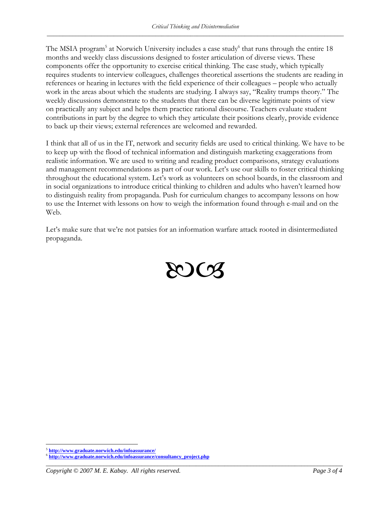The MSIA program<sup>5</sup> at Norwich University includes a case study<sup>6</sup> that runs through the entire 18 months and weekly class discussions designed to foster articulation of diverse views. These components offer the opportunity to exercise critical thinking. The case study, which typically requires students to interview colleagues, challenges theoretical assertions the students are reading in references or hearing in lectures with the field experience of their colleagues – people who actually work in the areas about which the students are studying. I always say, "Reality trumps theory." The weekly discussions demonstrate to the students that there can be diverse legitimate points of view on practically any subject and helps them practice rational discourse. Teachers evaluate student contributions in part by the degree to which they articulate their positions clearly, provide evidence to back up their views; external references are welcomed and rewarded.

I think that all of us in the IT, network and security fields are used to critical thinking. We have to be to keep up with the flood of technical information and distinguish marketing exaggerations from realistic information. We are used to writing and reading product comparisons, strategy evaluations and management recommendations as part of our work. Let's use our skills to foster critical thinking throughout the educational system. Let's work as volunteers on school boards, in the classroom and in social organizations to introduce critical thinking to children and adults who haven't learned how to distinguish reality from propaganda. Push for curriculum changes to accompany lessons on how to use the Internet with lessons on how to weigh the information found through e-mail and on the Web.

Let's make sure that we're not patsies for an information warfare attack rooted in disintermediated propaganda.



*\_\_\_\_\_\_\_\_\_\_\_\_\_\_\_\_\_\_\_\_\_\_\_\_\_\_\_\_\_\_\_\_\_\_\_\_\_\_\_\_\_\_\_\_\_\_\_\_\_\_\_\_\_\_\_\_\_\_\_\_\_\_\_\_\_\_\_\_\_\_\_\_\_\_\_\_\_\_\_\_\_\_\_\_\_\_\_\_\_\_\_\_\_* 

 $\overline{a}$ 

<sup>5</sup> **http://www.graduate.norwich.edu/infoassurance/** 6 **http://www.graduate.norwich.edu/infoassurance/consultancy\_project.php**